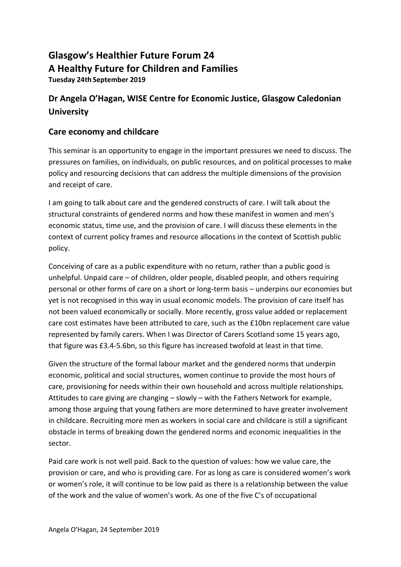# **Glasgow's Healthier Future Forum 24 A Healthy Future for Children and Families Tuesday 24th September 2019**

# **Dr Angela O'Hagan, WISE Centre for Economic Justice, Glasgow Caledonian University**

### **Care economy and childcare**

This seminar is an opportunity to engage in the important pressures we need to discuss. The pressures on families, on individuals, on public resources, and on political processes to make policy and resourcing decisions that can address the multiple dimensions of the provision and receipt of care.

I am going to talk about care and the gendered constructs of care. I will talk about the structural constraints of gendered norms and how these manifest in women and men's economic status, time use, and the provision of care. I will discuss these elements in the context of current policy frames and resource allocations in the context of Scottish public policy.

Conceiving of care as a public expenditure with no return, rather than a public good is unhelpful. Unpaid care – of children, older people, disabled people, and others requiring personal or other forms of care on a short or long-term basis – underpins our economies but yet is not recognised in this way in usual economic models. The provision of care itself has not been valued economically or socially. More recently, gross value added or replacement care cost estimates have been attributed to care, such as the £10bn replacement care value represented by family carers. When I was Director of Carers Scotland some 15 years ago, that figure was £3.4-5.6bn, so this figure has increased twofold at least in that time.

Given the structure of the formal labour market and the gendered norms that underpin economic, political and social structures, women continue to provide the most hours of care, provisioning for needs within their own household and across multiple relationships. Attitudes to care giving are changing – slowly – with the Fathers Network for example, among those arguing that young fathers are more determined to have greater involvement in childcare. Recruiting more men as workers in social care and childcare is still a significant obstacle in terms of breaking down the gendered norms and economic inequalities in the sector.

Paid care work is not well paid. Back to the question of values: how we value care, the provision or care, and who is providing care. For as long as care is considered women's work or women's role, it will continue to be low paid as there is a relationship between the value of the work and the value of women's work. As one of the five C's of occupational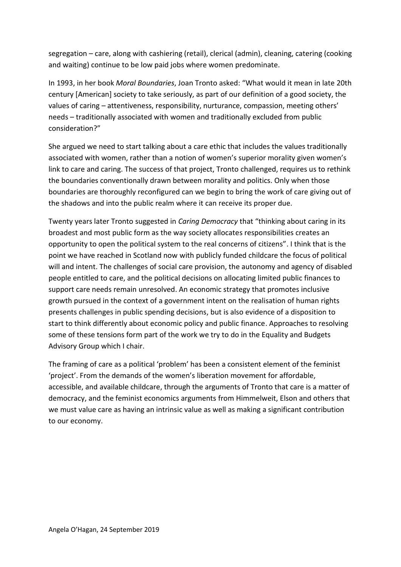segregation – care, along with cashiering (retail), clerical (admin), cleaning, catering (cooking and waiting) continue to be low paid jobs where women predominate.

In 1993, in her book *Moral Boundaries*, Joan Tronto asked: "What would it mean in late 20th century [American] society to take seriously, as part of our definition of a good society, the values of caring – attentiveness, responsibility, nurturance, compassion, meeting others' needs – traditionally associated with women and traditionally excluded from public consideration?"

She argued we need to start talking about a care ethic that includes the values traditionally associated with women, rather than a notion of women's superior morality given women's link to care and caring. The success of that project, Tronto challenged, requires us to rethink the boundaries conventionally drawn between morality and politics. Only when those boundaries are thoroughly reconfigured can we begin to bring the work of care giving out of the shadows and into the public realm where it can receive its proper due.

Twenty years later Tronto suggested in *Caring Democracy* that "thinking about caring in its broadest and most public form as the way society allocates responsibilities creates an opportunity to open the political system to the real concerns of citizens". I think that is the point we have reached in Scotland now with publicly funded childcare the focus of political will and intent. The challenges of social care provision, the autonomy and agency of disabled people entitled to care, and the political decisions on allocating limited public finances to support care needs remain unresolved. An economic strategy that promotes inclusive growth pursued in the context of a government intent on the realisation of human rights presents challenges in public spending decisions, but is also evidence of a disposition to start to think differently about economic policy and public finance. Approaches to resolving some of these tensions form part of the work we try to do in the Equality and Budgets Advisory Group which I chair.

The framing of care as a political 'problem' has been a consistent element of the feminist 'project'. From the demands of the women's liberation movement for affordable, accessible, and available childcare, through the arguments of Tronto that care is a matter of democracy, and the feminist economics arguments from Himmelweit, Elson and others that we must value care as having an intrinsic value as well as making a significant contribution to our economy.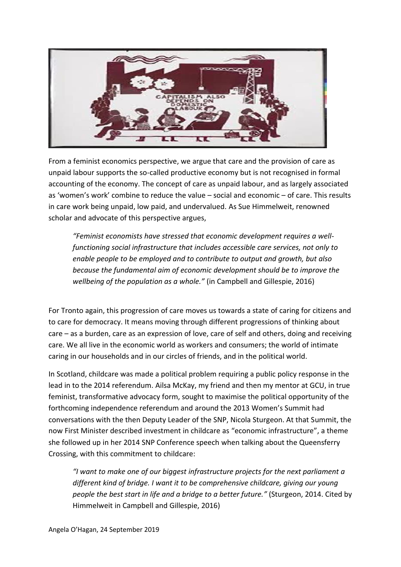

From a feminist economics perspective, we argue that care and the provision of care as unpaid labour supports the so-called productive economy but is not recognised in formal accounting of the economy. The concept of care as unpaid labour, and as largely associated as 'women's work' combine to reduce the value – social and economic – of care. This results in care work being unpaid, low paid, and undervalued. As Sue Himmelweit, renowned scholar and advocate of this perspective argues,

*"Feminist economists have stressed that economic development requires a wellfunctioning social infrastructure that includes accessible care services, not only to enable people to be employed and to contribute to output and growth, but also because the fundamental aim of economic development should be to improve the wellbeing of the population as a whole."* (in Campbell and Gillespie, 2016)

For Tronto again, this progression of care moves us towards a state of caring for citizens and to care for democracy. It means moving through different progressions of thinking about care – as a burden, care as an expression of love, care of self and others, doing and receiving care. We all live in the economic world as workers and consumers; the world of intimate caring in our households and in our circles of friends, and in the political world.

In Scotland, childcare was made a political problem requiring a public policy response in the lead in to the 2014 referendum. Ailsa McKay, my friend and then my mentor at GCU, in true feminist, transformative advocacy form, sought to maximise the political opportunity of the forthcoming independence referendum and around the 2013 Women's Summit had conversations with the then Deputy Leader of the SNP, Nicola Sturgeon. At that Summit, the now First Minister described investment in childcare as "economic infrastructure", a theme she followed up in her 2014 SNP Conference speech when talking about the Queensferry Crossing, with this commitment to childcare:

*"I want to make one of our biggest infrastructure projects for the next parliament a different kind of bridge. I want it to be comprehensive childcare, giving our young people the best start in life and a bridge to a better future."* (Sturgeon, 2014. Cited by Himmelweit in Campbell and Gillespie, 2016)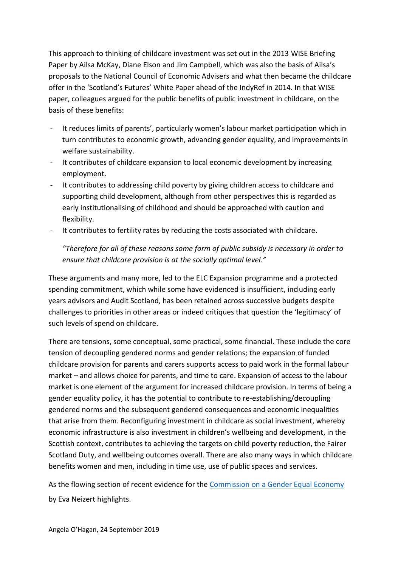This approach to thinking of childcare investment was set out in the 2013 WISE Briefing Paper by Ailsa McKay, Diane Elson and Jim Campbell, which was also the basis of Ailsa's proposals to the National Council of Economic Advisers and what then became the childcare offer in the 'Scotland's Futures' White Paper ahead of the IndyRef in 2014. In that WISE paper, colleagues argued for the public benefits of public investment in childcare, on the basis of these benefits:

- It reduces limits of parents', particularly women's labour market participation which in turn contributes to economic growth, advancing gender equality, and improvements in welfare sustainability.
- It contributes of childcare expansion to local economic development by increasing employment.
- It contributes to addressing child poverty by giving children access to childcare and supporting child development, although from other perspectives this is regarded as early institutionalising of childhood and should be approached with caution and flexibility.
- It contributes to fertility rates by reducing the costs associated with childcare.

*"Therefore for all of these reasons some form of public subsidy is necessary in order to ensure that childcare provision is at the socially optimal level."*

These arguments and many more, led to the ELC Expansion programme and a protected spending commitment, which while some have evidenced is insufficient, including early years advisors and Audit Scotland, has been retained across successive budgets despite challenges to priorities in other areas or indeed critiques that question the 'legitimacy' of such levels of spend on childcare.

There are tensions, some conceptual, some practical, some financial. These include the core tension of decoupling gendered norms and gender relations; the expansion of funded childcare provision for parents and carers supports access to paid work in the formal labour market – and allows choice for parents, and time to care. Expansion of access to the labour market is one element of the argument for increased childcare provision. In terms of being a gender equality policy, it has the potential to contribute to re-establishing/decoupling gendered norms and the subsequent gendered consequences and economic inequalities that arise from them. Reconfiguring investment in childcare as social investment, whereby economic infrastructure is also investment in children's wellbeing and development, in the Scottish context, contributes to achieving the targets on child poverty reduction, the Fairer Scotland Duty, and wellbeing outcomes overall. There are also many ways in which childcare benefits women and men, including in time use, use of public spaces and services.

As the flowing section of recent evidence for the [Commission on a Gender Equal Economy](https://wbg.org.uk/commission/) by Eva Neizert highlights.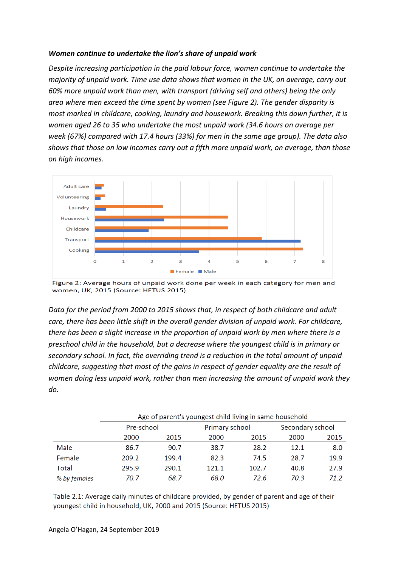#### *Women continue to undertake the lion's share of unpaid work*

*Despite increasing participation in the paid labour force, women continue to undertake the majority of unpaid work. Time use data shows that women in the UK, on average, carry out 60% more unpaid work than men, with transport (driving self and others) being the only area where men exceed the time spent by women (see Figure 2). The gender disparity is most marked in childcare, cooking, laundry and housework. Breaking this down further, it is women aged 26 to 35 who undertake the most unpaid work (34.6 hours on average per week (67%) compared with 17.4 hours (33%) for men in the same age group). The data also shows that those on low incomes carry out a fifth more unpaid work, on average, than those on high incomes.*



Figure 2: Average hours of unpaid work done per week in each category for men and women, UK, 2015 (Source: HETUS 2015)

*Data for the period from 2000 to 2015 shows that, in respect of both childcare and adult care, there has been little shift in the overall gender division of unpaid work. For childcare, there has been a slight increase in the proportion of unpaid work by men where there is a preschool child in the household, but a decrease where the youngest child is in primary or secondary school. In fact, the overriding trend is a reduction in the total amount of unpaid childcare, suggesting that most of the gains in respect of gender equality are the result of women doing less unpaid work, rather than men increasing the amount of unpaid work they do.*

|              | Age of parent's youngest child living in same household |       |                |       |                  |      |  |
|--------------|---------------------------------------------------------|-------|----------------|-------|------------------|------|--|
|              | Pre-school                                              |       | Primary school |       | Secondary school |      |  |
|              | 2000                                                    | 2015  | 2000           | 2015  | 2000             | 2015 |  |
| Male         | 86.7                                                    | 90.7  | 38.7           | 28.2  | 12.1             | 8.0  |  |
| Female       | 209.2                                                   | 199.4 | 82.3           | 74.5  | 28.7             | 19.9 |  |
| Total        | 295.9                                                   | 290.1 | 121.1          | 102.7 | 40.8             | 27.9 |  |
| % by females | 70.7                                                    | 68.7  | 68.0           | 72.6  | 70.3             | 71.2 |  |

Table 2.1: Average daily minutes of childcare provided, by gender of parent and age of their youngest child in household, UK, 2000 and 2015 (Source: HETUS 2015)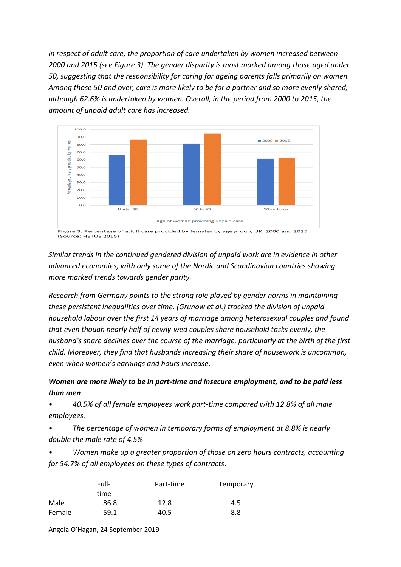*In respect of adult care, the proportion of care undertaken by women increased between 2000 and 2015 (see Figure 3). The gender disparity is most marked among those aged under 50, suggesting that the responsibility for caring for ageing parents falls primarily on women. Among those 50 and over, care is more likely to be for a partner and so more evenly shared, although 62.6% is undertaken by women. Overall, in the period from 2000 to 2015, the amount of unpaid adult care has increased.*



Figure 3: Percentage of adult care provided by females by age group, UK, 2000 and 2015 (Source: HETUS 2015)

*Similar trends in the continued gendered division of unpaid work are in evidence in other advanced economies, with only some of the Nordic and Scandinavian countries showing more marked trends towards gender parity.*

*Research from Germany points to the strong role played by gender norms in maintaining these persistent inequalities over time. (Grunow et al.) tracked the division of unpaid household labour over the first 14 years of marriage among heterosexual couples and found that even though nearly half of newly-wed couples share household tasks evenly, the husband's share declines over the course of the marriage, particularly at the birth of the first child. Moreover, they find that husbands increasing their share of housework is uncommon, even when women's earnings and hours increase.*

## *Women are more likely to be in part-time and insecure employment, and to be paid less than men*

• *40.5% of all female employees work part-time compared with 12.8% of all male employees.* 

• *The percentage of women in temporary forms of employment at 8.8% is nearly double the male rate of 4.5%* 

• *Women make up a greater proportion of those on zero hours contracts, accounting for 54.7% of all employees on these types of contracts*.

|        | Full- | Part-time | Temporary |  |
|--------|-------|-----------|-----------|--|
|        | time  |           |           |  |
| Male   | 86.8  | 12.8      | 4.5       |  |
| Female | 59.1  | 40.5      | 8.8       |  |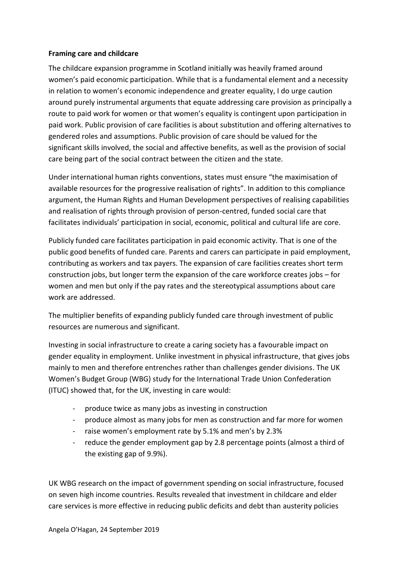#### **Framing care and childcare**

The childcare expansion programme in Scotland initially was heavily framed around women's paid economic participation. While that is a fundamental element and a necessity in relation to women's economic independence and greater equality, I do urge caution around purely instrumental arguments that equate addressing care provision as principally a route to paid work for women or that women's equality is contingent upon participation in paid work. Public provision of care facilities is about substitution and offering alternatives to gendered roles and assumptions. Public provision of care should be valued for the significant skills involved, the social and affective benefits, as well as the provision of social care being part of the social contract between the citizen and the state.

Under international human rights conventions, states must ensure "the maximisation of available resources for the progressive realisation of rights". In addition to this compliance argument, the Human Rights and Human Development perspectives of realising capabilities and realisation of rights through provision of person-centred, funded social care that facilitates individuals' participation in social, economic, political and cultural life are core.

Publicly funded care facilitates participation in paid economic activity. That is one of the public good benefits of funded care. Parents and carers can participate in paid employment, contributing as workers and tax payers. The expansion of care facilities creates short term construction jobs, but longer term the expansion of the care workforce creates jobs – for women and men but only if the pay rates and the stereotypical assumptions about care work are addressed.

The multiplier benefits of expanding publicly funded care through investment of public resources are numerous and significant.

Investing in social infrastructure to create a caring society has a favourable impact on gender equality in employment. Unlike investment in physical infrastructure, that gives jobs mainly to men and therefore entrenches rather than challenges gender divisions. The UK Women's Budget Group (WBG) study for the International Trade Union Confederation (ITUC) showed that, for the UK, investing in care would:

- produce twice as many jobs as investing in construction
- produce almost as many jobs for men as construction and far more for women
- raise women's employment rate by 5.1% and men's by 2.3%
- reduce the gender employment gap by 2.8 percentage points (almost a third of the existing gap of 9.9%).

UK WBG research on the impact of government spending on social infrastructure, focused on seven high income countries. Results revealed that investment in childcare and elder care services is more effective in reducing public deficits and debt than austerity policies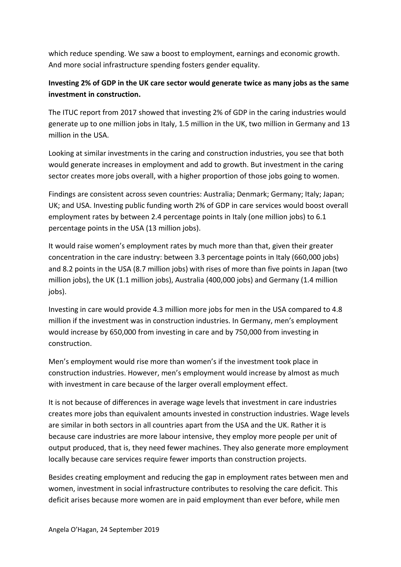which reduce spending. We saw a boost to employment, earnings and economic growth. And more social infrastructure spending fosters gender equality.

### **Investing 2% of GDP in the UK care sector would generate twice as many jobs as the same investment in construction.**

The ITUC report from 2017 showed that investing 2% of GDP in the caring industries would generate up to one million jobs in Italy, 1.5 million in the UK, two million in Germany and 13 million in the USA.

Looking at similar investments in the caring and construction industries, you see that both would generate increases in employment and add to growth. But investment in the caring sector creates more jobs overall, with a higher proportion of those jobs going to women.

Findings are consistent across seven countries: Australia; Denmark; Germany; Italy; Japan; UK; and USA. Investing public funding worth 2% of GDP in care services would boost overall employment rates by between 2.4 percentage points in Italy (one million jobs) to 6.1 percentage points in the USA (13 million jobs).

It would raise women's employment rates by much more than that, given their greater concentration in the care industry: between 3.3 percentage points in Italy (660,000 jobs) and 8.2 points in the USA (8.7 million jobs) with rises of more than five points in Japan (two million jobs), the UK (1.1 million jobs), Australia (400,000 jobs) and Germany (1.4 million jobs).

Investing in care would provide 4.3 million more jobs for men in the USA compared to 4.8 million if the investment was in construction industries. In Germany, men's employment would increase by 650,000 from investing in care and by 750,000 from investing in construction.

Men's employment would rise more than women's if the investment took place in construction industries. However, men's employment would increase by almost as much with investment in care because of the larger overall employment effect.

It is not because of differences in average wage levels that investment in care industries creates more jobs than equivalent amounts invested in construction industries. Wage levels are similar in both sectors in all countries apart from the USA and the UK. Rather it is because care industries are more labour intensive, they employ more people per unit of output produced, that is, they need fewer machines. They also generate more employment locally because care services require fewer imports than construction projects.

Besides creating employment and reducing the gap in employment rates between men and women, investment in social infrastructure contributes to resolving the care deficit. This deficit arises because more women are in paid employment than ever before, while men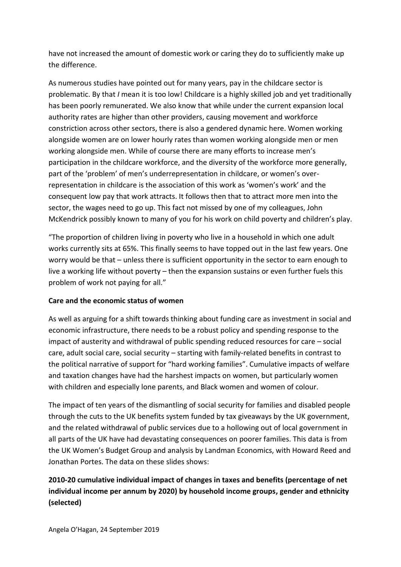have not increased the amount of domestic work or caring they do to sufficiently make up the difference.

As numerous studies have pointed out for many years, pay in the childcare sector is problematic. By that *I* mean it is too low! Childcare is a highly skilled job and yet traditionally has been poorly remunerated. We also know that while under the current expansion local authority rates are higher than other providers, causing movement and workforce constriction across other sectors, there is also a gendered dynamic here. Women working alongside women are on lower hourly rates than women working alongside men or men working alongside men. While of course there are many efforts to increase men's participation in the childcare workforce, and the diversity of the workforce more generally, part of the 'problem' of men's underrepresentation in childcare, or women's overrepresentation in childcare is the association of this work as 'women's work' and the consequent low pay that work attracts. It follows then that to attract more men into the sector, the wages need to go up. This fact not missed by one of my colleagues, John McKendrick possibly known to many of you for his work on child poverty and children's play.

"The proportion of children living in poverty who live in a household in which one adult works currently sits at 65%. This finally seems to have topped out in the last few years. One worry would be that – unless there is sufficient opportunity in the sector to earn enough to live a working life without poverty – then the expansion sustains or even further fuels this problem of work not paying for all."

### **Care and the economic status of women**

As well as arguing for a shift towards thinking about funding care as investment in social and economic infrastructure, there needs to be a robust policy and spending response to the impact of austerity and withdrawal of public spending reduced resources for care – social care, adult social care, social security – starting with family-related benefits in contrast to the political narrative of support for "hard working families". Cumulative impacts of welfare and taxation changes have had the harshest impacts on women, but particularly women with children and especially lone parents, and Black women and women of colour.

The impact of ten years of the dismantling of social security for families and disabled people through the cuts to the UK benefits system funded by tax giveaways by the UK government, and the related withdrawal of public services due to a hollowing out of local government in all parts of the UK have had devastating consequences on poorer families. This data is from the UK Women's Budget Group and analysis by Landman Economics, with Howard Reed and Jonathan Portes. The data on these slides shows:

## **2010-20 cumulative individual impact of changes in taxes and benefits (percentage of net individual income per annum by 2020) by household income groups, gender and ethnicity (selected)**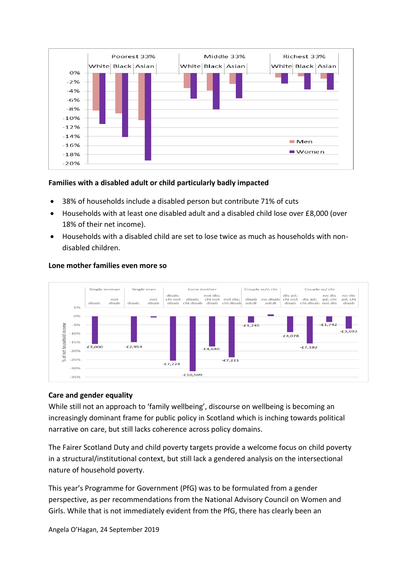

### **Families with a disabled adult or child particularly badly impacted**

- 38% of households include a disabled person but contribute 71% of cuts
- Households with at least one disabled adult and a disabled child lose over £8,000 (over 18% of their net income).
- Households with a disabled child are set to lose twice as much as households with nondisabled children.



#### **Lone mother families even more so**

### **Care and gender equality**

While still not an approach to 'family wellbeing', discourse on wellbeing is becoming an increasingly dominant frame for public policy in Scotland which is inching towards political narrative on care, but still lacks coherence across policy domains.

The Fairer Scotland Duty and child poverty targets provide a welcome focus on child poverty in a structural/institutional context, but still lack a gendered analysis on the intersectional nature of household poverty.

This year's Programme for Government (PfG) was to be formulated from a gender perspective, as per recommendations from the National Advisory Council on Women and Girls. While that is not immediately evident from the PfG, there has clearly been an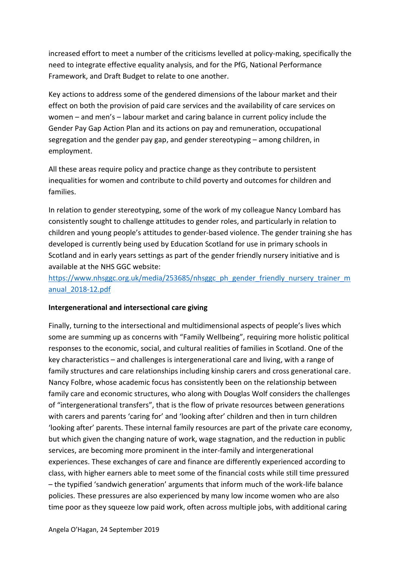increased effort to meet a number of the criticisms levelled at policy-making, specifically the need to integrate effective equality analysis, and for the PfG, National Performance Framework, and Draft Budget to relate to one another.

Key actions to address some of the gendered dimensions of the labour market and their effect on both the provision of paid care services and the availability of care services on women – and men's – labour market and caring balance in current policy include the Gender Pay Gap Action Plan and its actions on pay and remuneration, occupational segregation and the gender pay gap, and gender stereotyping – among children, in employment.

All these areas require policy and practice change as they contribute to persistent inequalities for women and contribute to child poverty and outcomes for children and families.

In relation to gender stereotyping, some of the work of my colleague Nancy Lombard has consistently sought to challenge attitudes to gender roles, and particularly in relation to children and young people's attitudes to gender-based violence. The gender training she has developed is currently being used by Education Scotland for use in primary schools in Scotland and in early years settings as part of the gender friendly nursery initiative and is available at the NHS GGC website:

[https://www.nhsggc.org.uk/media/253685/nhsggc\\_ph\\_gender\\_friendly\\_nursery\\_trainer\\_m](https://www.nhsggc.org.uk/media/253685/nhsggc_ph_gender_friendly_nursery_trainer_manual_2018-12.pdf) [anual\\_2018-12.pdf](https://www.nhsggc.org.uk/media/253685/nhsggc_ph_gender_friendly_nursery_trainer_manual_2018-12.pdf)

### **Intergenerational and intersectional care giving**

Finally, turning to the intersectional and multidimensional aspects of people's lives which some are summing up as concerns with "Family Wellbeing", requiring more holistic political responses to the economic, social, and cultural realities of families in Scotland. One of the key characteristics – and challenges is intergenerational care and living, with a range of family structures and care relationships including kinship carers and cross generational care. Nancy Folbre, whose academic focus has consistently been on the relationship between family care and economic structures, who along with Douglas Wolf considers the challenges of "intergenerational transfers", that is the flow of private resources between generations with carers and parents 'caring for' and 'looking after' children and then in turn children 'looking after' parents. These internal family resources are part of the private care economy, but which given the changing nature of work, wage stagnation, and the reduction in public services, are becoming more prominent in the inter-family and intergenerational experiences. These exchanges of care and finance are differently experienced according to class, with higher earners able to meet some of the financial costs while still time pressured – the typified 'sandwich generation' arguments that inform much of the work-life balance policies. These pressures are also experienced by many low income women who are also time poor as they squeeze low paid work, often across multiple jobs, with additional caring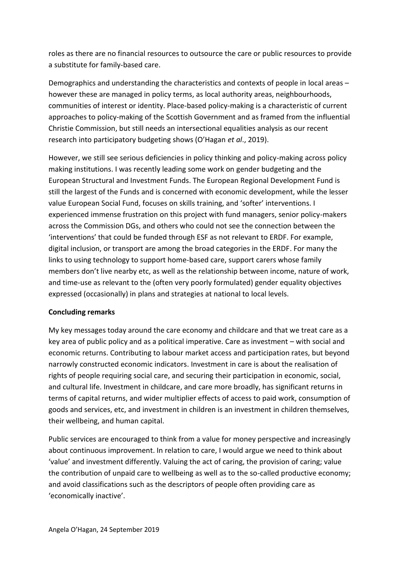roles as there are no financial resources to outsource the care or public resources to provide a substitute for family-based care.

Demographics and understanding the characteristics and contexts of people in local areas – however these are managed in policy terms, as local authority areas, neighbourhoods, communities of interest or identity. Place-based policy-making is a characteristic of current approaches to policy-making of the Scottish Government and as framed from the influential Christie Commission, but still needs an intersectional equalities analysis as our recent research into participatory budgeting shows (O'Hagan *et al*., 2019).

However, we still see serious deficiencies in policy thinking and policy-making across policy making institutions. I was recently leading some work on gender budgeting and the European Structural and Investment Funds. The European Regional Development Fund is still the largest of the Funds and is concerned with economic development, while the lesser value European Social Fund, focuses on skills training, and 'softer' interventions. I experienced immense frustration on this project with fund managers, senior policy-makers across the Commission DGs, and others who could not see the connection between the 'interventions' that could be funded through ESF as not relevant to ERDF. For example, digital inclusion, or transport are among the broad categories in the ERDF. For many the links to using technology to support home-based care, support carers whose family members don't live nearby etc, as well as the relationship between income, nature of work, and time-use as relevant to the (often very poorly formulated) gender equality objectives expressed (occasionally) in plans and strategies at national to local levels.

### **Concluding remarks**

My key messages today around the care economy and childcare and that we treat care as a key area of public policy and as a political imperative. Care as investment – with social and economic returns. Contributing to labour market access and participation rates, but beyond narrowly constructed economic indicators. Investment in care is about the realisation of rights of people requiring social care, and securing their participation in economic, social, and cultural life. Investment in childcare, and care more broadly, has significant returns in terms of capital returns, and wider multiplier effects of access to paid work, consumption of goods and services, etc, and investment in children is an investment in children themselves, their wellbeing, and human capital.

Public services are encouraged to think from a value for money perspective and increasingly about continuous improvement. In relation to care, I would argue we need to think about 'value' and investment differently. Valuing the act of caring, the provision of caring; value the contribution of unpaid care to wellbeing as well as to the so-called productive economy; and avoid classifications such as the descriptors of people often providing care as 'economically inactive'.